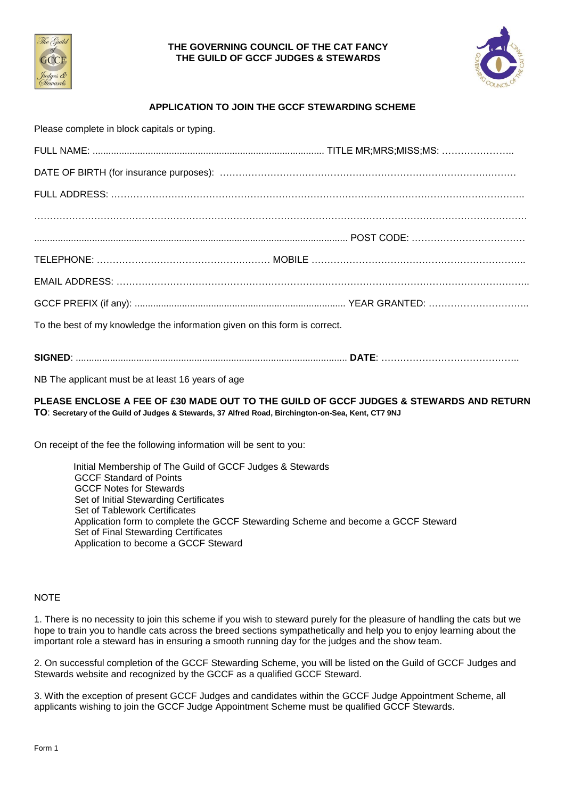



# **APPLICATION TO JOIN THE GCCF STEWARDING SCHEME**

Please complete in block capitals or typing.

| To the best of my knowledge the information given on this form is correct. |  |
|----------------------------------------------------------------------------|--|

### **SIGNED**: ....................................................................................................... **DATE**: ……………………………………..

NB The applicant must be at least 16 years of age

### **PLEASE ENCLOSE A FEE OF £30 MADE OUT TO THE GUILD OF GCCF JUDGES & STEWARDS AND RETURN TO**: **Secretary of the Guild of Judges & Stewards, 37 Alfred Road, Birchington-on-Sea, Kent, CT7 9NJ**

On receipt of the fee the following information will be sent to you:

 Initial Membership of The Guild of GCCF Judges & Stewards GCCF Standard of Points GCCF Notes for Stewards Set of Initial Stewarding Certificates Set of Tablework Certificates Application form to complete the GCCF Stewarding Scheme and become a GCCF Steward Set of Final Stewarding Certificates Application to become a GCCF Steward

# **NOTE**

1. There is no necessity to join this scheme if you wish to steward purely for the pleasure of handling the cats but we hope to train you to handle cats across the breed sections sympathetically and help you to enjoy learning about the important role a steward has in ensuring a smooth running day for the judges and the show team.

2. On successful completion of the GCCF Stewarding Scheme, you will be listed on the Guild of GCCF Judges and Stewards website and recognized by the GCCF as a qualified GCCF Steward.

3. With the exception of present GCCF Judges and candidates within the GCCF Judge Appointment Scheme, all applicants wishing to join the GCCF Judge Appointment Scheme must be qualified GCCF Stewards.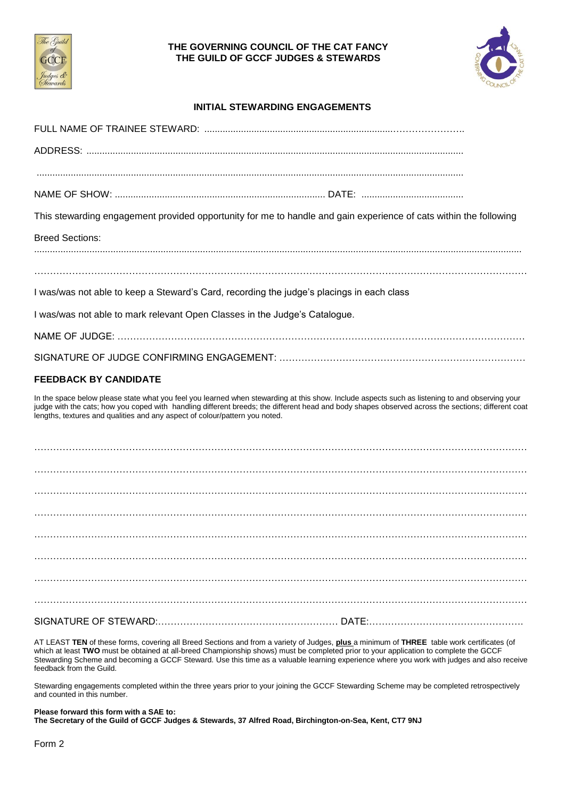



### **INITIAL STEWARDING ENGAGEMENTS**

| This stewarding engagement provided opportunity for me to handle and gain experience of cats within the following                                                                                                                                                                                                                                                                    |  |
|--------------------------------------------------------------------------------------------------------------------------------------------------------------------------------------------------------------------------------------------------------------------------------------------------------------------------------------------------------------------------------------|--|
| <b>Breed Sections:</b>                                                                                                                                                                                                                                                                                                                                                               |  |
|                                                                                                                                                                                                                                                                                                                                                                                      |  |
| I was/was not able to keep a Steward's Card, recording the judge's placings in each class                                                                                                                                                                                                                                                                                            |  |
| I was/was not able to mark relevant Open Classes in the Judge's Catalogue.                                                                                                                                                                                                                                                                                                           |  |
|                                                                                                                                                                                                                                                                                                                                                                                      |  |
|                                                                                                                                                                                                                                                                                                                                                                                      |  |
|                                                                                                                                                                                                                                                                                                                                                                                      |  |
| <b>FEEDBACK BY CANDIDATE</b>                                                                                                                                                                                                                                                                                                                                                         |  |
| In the space below please state what you feel you learned when stewarding at this show. Include aspects such as listening to and observing your<br>judge with the cats; how you coped with handling different breeds; the different head and body shapes observed across the sections; different coat<br>lengths, textures and qualities and any aspect of colour/pattern you noted. |  |
|                                                                                                                                                                                                                                                                                                                                                                                      |  |
|                                                                                                                                                                                                                                                                                                                                                                                      |  |
|                                                                                                                                                                                                                                                                                                                                                                                      |  |
|                                                                                                                                                                                                                                                                                                                                                                                      |  |
|                                                                                                                                                                                                                                                                                                                                                                                      |  |
|                                                                                                                                                                                                                                                                                                                                                                                      |  |
|                                                                                                                                                                                                                                                                                                                                                                                      |  |
|                                                                                                                                                                                                                                                                                                                                                                                      |  |
|                                                                                                                                                                                                                                                                                                                                                                                      |  |
|                                                                                                                                                                                                                                                                                                                                                                                      |  |

AT LEAST **TEN** of these forms, covering all Breed Sections and from a variety of Judges, **plus** a minimum of **THREE** table work certificates (of which at least **TWO** must be obtained at all-breed Championship shows) must be completed prior to your application to complete the GCCF Stewarding Scheme and becoming a GCCF Steward. Use this time as a valuable learning experience where you work with judges and also receive feedback from the Guild.

Stewarding engagements completed within the three years prior to your joining the GCCF Stewarding Scheme may be completed retrospectively and counted in this number.

**Please forward this form with a SAE to:**

**The Secretary of the Guild of GCCF Judges & Stewards, 37 Alfred Road, Birchington-on-Sea, Kent, CT7 9NJ**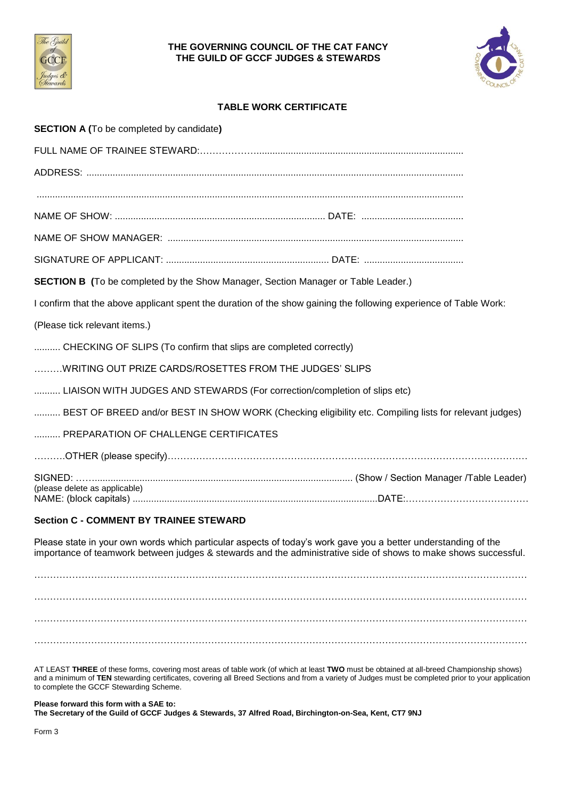



### **TABLE WORK CERTIFICATE**

| <b>SECTION A (To be completed by candidate)</b>                                                                   |  |
|-------------------------------------------------------------------------------------------------------------------|--|
|                                                                                                                   |  |
|                                                                                                                   |  |
|                                                                                                                   |  |
|                                                                                                                   |  |
|                                                                                                                   |  |
|                                                                                                                   |  |
| <b>SECTION B</b> (To be completed by the Show Manager, Section Manager or Table Leader.)                          |  |
| I confirm that the above applicant spent the duration of the show gaining the following experience of Table Work: |  |
| (Please tick relevant items.)                                                                                     |  |
| CHECKING OF SLIPS (To confirm that slips are completed correctly)                                                 |  |
| WRITING OUT PRIZE CARDS/ROSETTES FROM THE JUDGES' SLIPS                                                           |  |
| LIAISON WITH JUDGES AND STEWARDS (For correction/completion of slips etc)                                         |  |
| BEST OF BREED and/or BEST IN SHOW WORK (Checking eligibility etc. Compiling lists for relevant judges)            |  |
| PREPARATION OF CHALLENGE CERTIFICATES                                                                             |  |
|                                                                                                                   |  |
|                                                                                                                   |  |
| (please delete as applicable)                                                                                     |  |

### **Section C - COMMENT BY TRAINEE STEWARD**

Please state in your own words which particular aspects of today's work gave you a better understanding of the importance of teamwork between judges & stewards and the administrative side of shows to make shows successful.

………………………………………………………………………………………………………………………………………… ………………………………………………………………………………………………………………………………………… ………………………………………………………………………………………………………………………………………… …………………………………………………………………………………………………………………………………………

AT LEAST **THREE** of these forms, covering most areas of table work (of which at least **TWO** must be obtained at all-breed Championship shows) and a minimum of **TEN** stewarding certificates, covering all Breed Sections and from a variety of Judges must be completed prior to your application to complete the GCCF Stewarding Scheme.

#### **Please forward this form with a SAE to:**

**The Secretary of the Guild of GCCF Judges & Stewards, 37 Alfred Road, Birchington-on-Sea, Kent, CT7 9NJ**

Form 3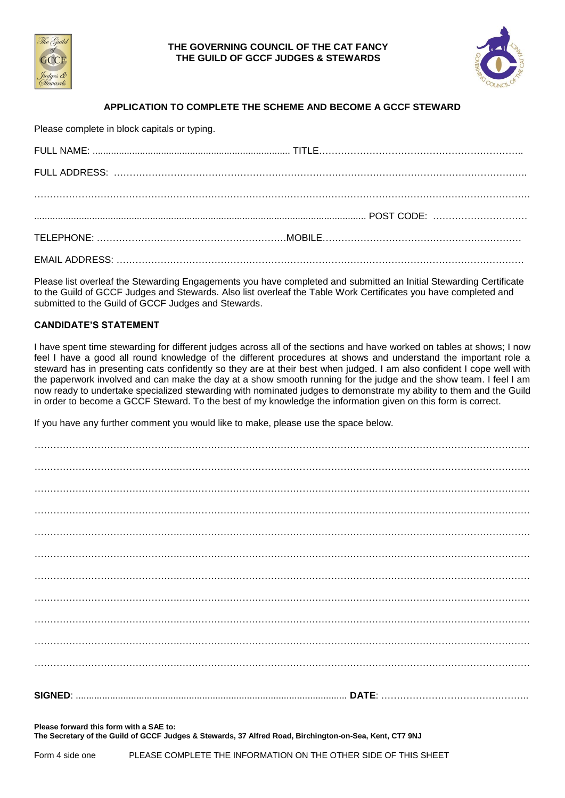



# **APPLICATION TO COMPLETE THE SCHEME AND BECOME A GCCF STEWARD**

Please complete in block capitals or typing.

Please list overleaf the Stewarding Engagements you have completed and submitted an Initial Stewarding Certificate to the Guild of GCCF Judges and Stewards. Also list overleaf the Table Work Certificates you have completed and submitted to the Guild of GCCF Judges and Stewards.

### **CANDIDATE'S STATEMENT**

I have spent time stewarding for different judges across all of the sections and have worked on tables at shows; I now feel I have a good all round knowledge of the different procedures at shows and understand the important role a steward has in presenting cats confidently so they are at their best when judged. I am also confident I cope well with the paperwork involved and can make the day at a show smooth running for the judge and the show team. I feel I am now ready to undertake specialized stewarding with nominated judges to demonstrate my ability to them and the Guild in order to become a GCCF Steward. To the best of my knowledge the information given on this form is correct.

If you have any further comment you would like to make, please use the space below.

**Please forward this form with a SAE to:**

**The Secretary of the Guild of GCCF Judges & Stewards, 37 Alfred Road, Birchington-on-Sea, Kent, CT7 9NJ**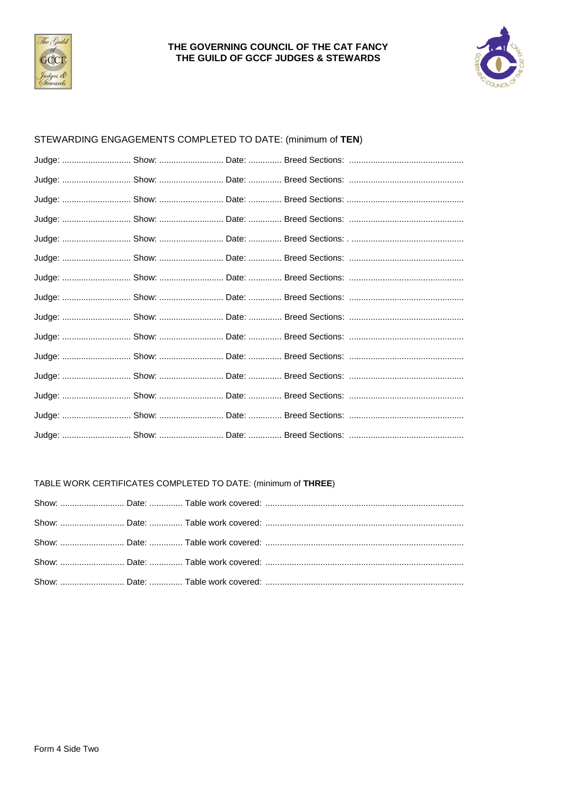



# STEWARDING ENGAGEMENTS COMPLETED TO DATE: (minimum of TEN)

## TABLE WORK CERTIFICATES COMPLETED TO DATE: (minimum of THREE)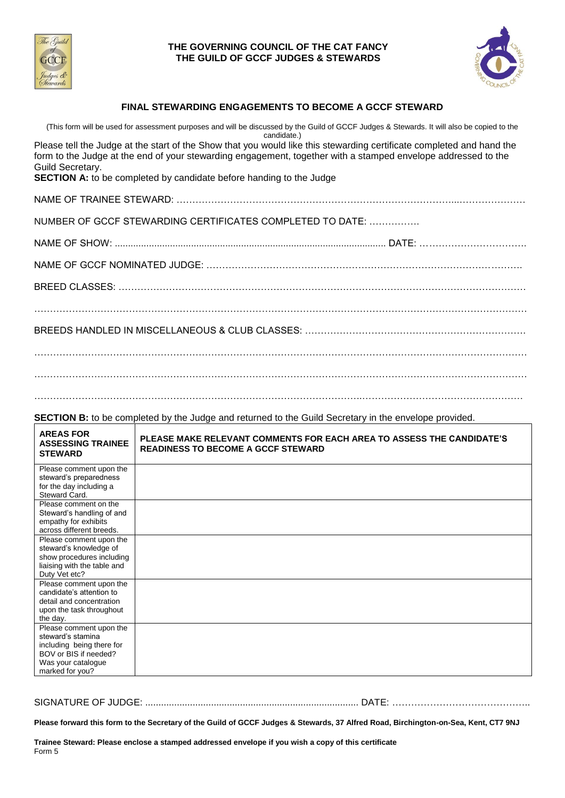



### **FINAL STEWARDING ENGAGEMENTS TO BECOME A GCCF STEWARD**

(This form will be used for assessment purposes and will be discussed by the Guild of GCCF Judges & Stewards. It will also be copied to the candidate.) Please tell the Judge at the start of the Show that you would like this stewarding certificate completed and hand the form to the Judge at the end of your stewarding engagement, together with a stamped envelope addressed to the Guild Secretary. **SECTION A:** to be completed by candidate before handing to the Judge NAME OF TRAINEE STEWARD: ……………………………………………………………………………...………………… NUMBER OF GCCF STEWARDING CERTIFICATES COMPLETED TO DATE: ……………. NAME OF SHOW: ....................................................................................................... DATE: ……………………………. NAME OF GCCF NOMINATED JUDGE: ………………………………………………………………………………………. BREED CLASSES: ………………………………………………………………………………………………………………… BREEDS HANDLED IN MISCELLANEOUS & CLUB CLASSES: ……………………………………………………………. ………………………………………………………………………………………………………………………………………… …………………………………………………………………………………………..…………………………………………… **SECTION B:** to be completed by the Judge and returned to the Guild Secretary in the envelope provided. **AREAS FOR ASSESSING TRAINEE STEWARD PLEASE MAKE RELEVANT COMMENTS FOR EACH AREA TO ASSESS THE CANDIDATE'S READINESS TO BECOME A GCCF STEWARD**

| Please comment upon the     |  |
|-----------------------------|--|
| steward's preparedness      |  |
| for the day including a     |  |
| Steward Card.               |  |
| Please comment on the       |  |
| Steward's handling of and   |  |
| empathy for exhibits        |  |
| across different breeds.    |  |
| Please comment upon the     |  |
| steward's knowledge of      |  |
| show procedures including   |  |
| liaising with the table and |  |
| Duty Vet etc?               |  |
| Please comment upon the     |  |
| candidate's attention to    |  |
| detail and concentration    |  |
| upon the task throughout    |  |
| the day.                    |  |
| Please comment upon the     |  |
| steward's stamina           |  |
| including being there for   |  |
| BOV or BIS if needed?       |  |
| Was your catalogue          |  |
| marked for you?             |  |

SIGNATURE OF JUDGE: ................................................................................. DATE: ……………………………………..

**Please forward this form to the Secretary of the Guild of GCCF Judges & Stewards, 37 Alfred Road, Birchington-on-Sea, Kent, CT7 9NJ**